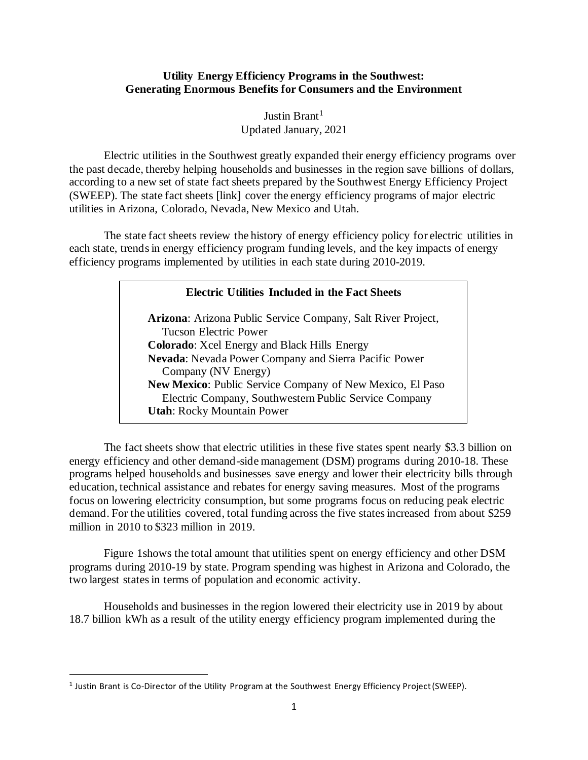## **Utility Energy Efficiency Programs in the Southwest: Generating Enormous Benefits for Consumers and the Environment**

Justin Brant<sup>1</sup> Updated January, 2021

Electric utilities in the Southwest greatly expanded their energy efficiency programs over the past decade, thereby helping households and businesses in the region save billions of dollars, according to a new set of state fact sheets prepared by the Southwest Energy Efficiency Project (SWEEP). The state fact sheets [link] cover the energy efficiency programs of major electric utilities in Arizona, Colorado, Nevada, New Mexico and Utah.

The state fact sheets review the history of energy efficiency policy for electric utilities in each state, trends in energy efficiency program funding levels, and the key impacts of energy efficiency programs implemented by utilities in each state during 2010-2019.

## **Electric Utilities Included in the Fact Sheets**

**Utah:** Rocky Mountain Power **Arizona**: Arizona Public Service Company, Salt River Project, Tucson Electric Power **Colorado**: Xcel Energy and Black Hills Energy **Nevada**: Nevada Power Company and Sierra Pacific Power Company (NV Energy) **New Mexico**: Public Service Company of New Mexico, El Paso Electric Company, Southwestern Public Service Company

The fact sheets show that electric utilities in these five states spent nearly \$3.3 billion on energy efficiency and other demand-side management (DSM) programs during 2010-18. These programs helped households and businesses save energy and lower their electricity bills through education, technical assistance and rebates for energy saving measures. Most of the programs focus on lowering electricity consumption, but some programs focus on reducing peak electric demand. For the utilities covered, total funding across the five states increased from about \$259 million in 2010 to \$323 million in 2019.

Figure 1shows the total amount that utilities spent on energy efficiency and other DSM programs during 2010-19 by state. Program spending was highest in Arizona and Colorado, the two largest states in terms of population and economic activity.

Households and businesses in the region lowered their electricity use in 2019 by about 18.7 billion kWh as a result of the utility energy efficiency program implemented during the

<sup>&</sup>lt;sup>1</sup> Justin Brant is Co-Director of the Utility Program at the Southwest Energy Efficiency Project (SWEEP).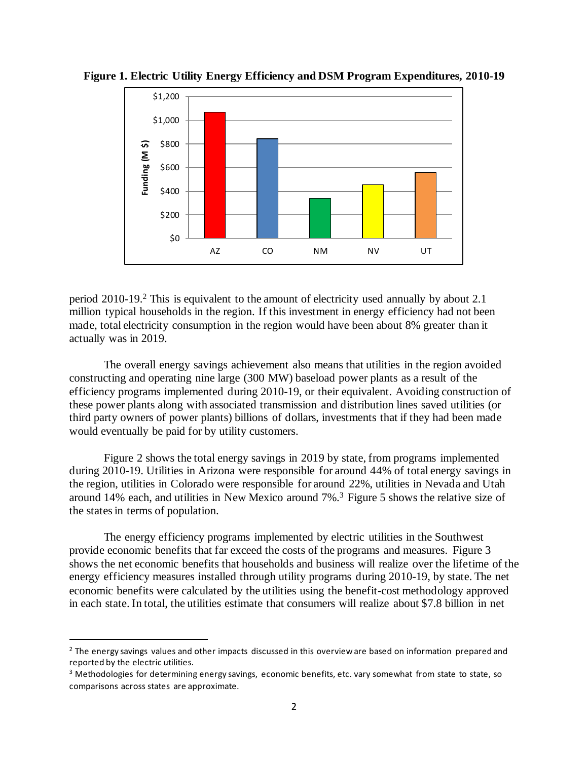

**Figure 1. Electric Utility Energy Efficiency and DSM Program Expenditures, 2010-19**

period 2010-19. <sup>2</sup> This is equivalent to the amount of electricity used annually by about 2.1 million typical households in the region. If this investment in energy efficiency had not been made, total electricity consumption in the region would have been about 8% greater than it actually was in 2019.

The overall energy savings achievement also means that utilities in the region avoided constructing and operating nine large (300 MW) baseload power plants as a result of the efficiency programs implemented during 2010-19, or their equivalent. Avoiding construction of these power plants along with associated transmission and distribution lines saved utilities (or third party owners of power plants) billions of dollars, investments that if they had been made would eventually be paid for by utility customers.

Figure 2 shows the total energy savings in 2019 by state, from programs implemented during 2010-19. Utilities in Arizona were responsible for around 44% of total energy savings in the region, utilities in Colorado were responsible for around 22%, utilities in Nevada and Utah around 14% each, and utilities in New Mexico around 7%.<sup>3</sup> Figure 5 shows the relative size of the states in terms of population.

The energy efficiency programs implemented by electric utilities in the Southwest provide economic benefits that far exceed the costs of the programs and measures. Figure 3 shows the net economic benefits that households and business will realize over the lifetime of the energy efficiency measures installed through utility programs during 2010-19, by state. The net economic benefits were calculated by the utilities using the benefit-cost methodology approved in each state. In total, the utilities estimate that consumers will realize about \$7.8 billion in net

<sup>&</sup>lt;sup>2</sup> The energy savings values and other impacts discussed in this overview are based on information prepared and reported by the electric utilities.

<sup>&</sup>lt;sup>3</sup> Methodologies for determining energy savings, economic benefits, etc. vary somewhat from state to state, so comparisons across states are approximate.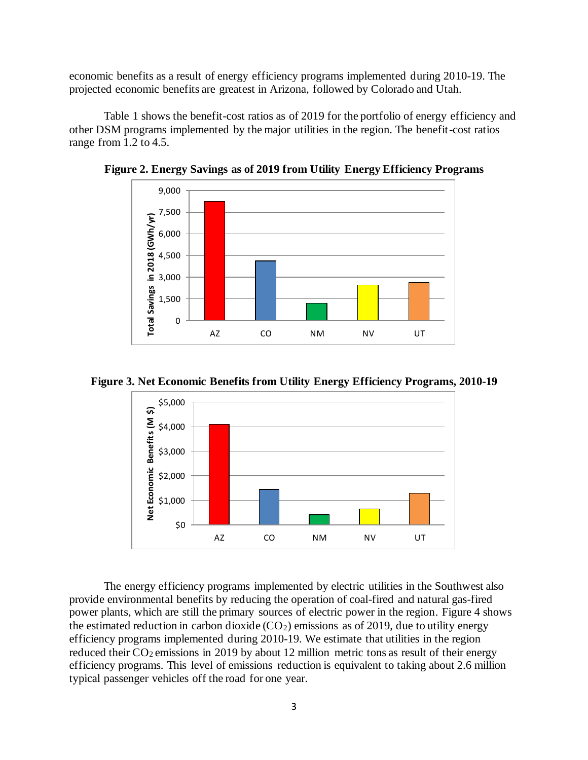economic benefits as a result of energy efficiency programs implemented during 2010-19. The projected economic benefits are greatest in Arizona, followed by Colorado and Utah.

Table 1 shows the benefit-cost ratios as of 2019 for the portfolio of energy efficiency and other DSM programs implemented by the major utilities in the region. The benefit-cost ratios range from 1.2 to 4.5.



**Figure 2. Energy Savings as of 2019 from Utility Energy Efficiency Programs** 





The energy efficiency programs implemented by electric utilities in the Southwest also provide environmental benefits by reducing the operation of coal-fired and natural gas-fired power plants, which are still the primary sources of electric power in the region. Figure 4 shows the estimated reduction in carbon dioxide  $(CO_2)$  emissions as of 2019, due to utility energy efficiency programs implemented during 2010-19. We estimate that utilities in the region reduced their  $CO_2$  emissions in 2019 by about 12 million metric tons as result of their energy efficiency programs. This level of emissions reduction is equivalent to taking about 2.6 million typical passenger vehicles off the road for one year.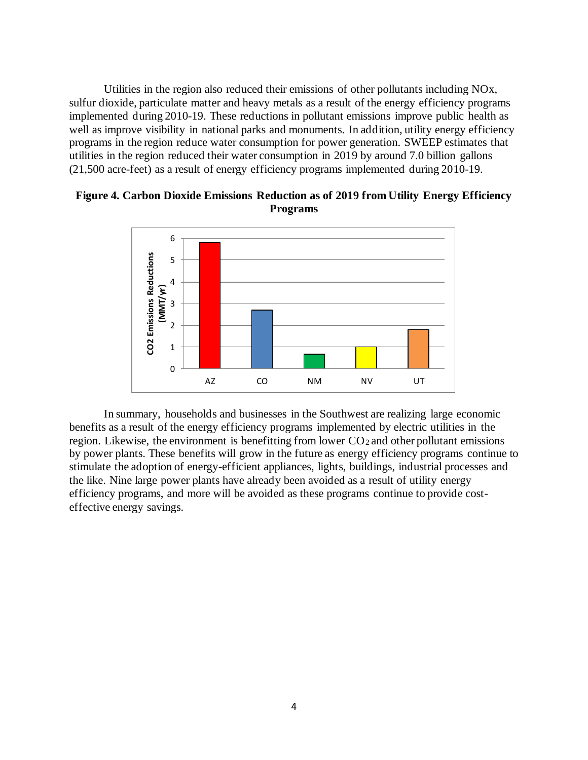Utilities in the region also reduced their emissions of other pollutants including NOx, sulfur dioxide, particulate matter and heavy metals as a result of the energy efficiency programs implemented during 2010-19. These reductions in pollutant emissions improve public health as well as improve visibility in national parks and monuments. In addition, utility energy efficiency programs in the region reduce water consumption for power generation. SWEEP estimates that utilities in the region reduced their water consumption in 2019 by around 7.0 billion gallons (21,500 acre-feet) as a result of energy efficiency programs implemented during 2010-19.



**Figure 4. Carbon Dioxide Emissions Reduction as of 2019 from Utility Energy Efficiency Programs** 

In summary, households and businesses in the Southwest are realizing large economic benefits as a result of the energy efficiency programs implemented by electric utilities in the region. Likewise, the environment is benefitting from lower  $CO<sub>2</sub>$  and other pollutant emissions by power plants. These benefits will grow in the future as energy efficiency programs continue to stimulate the adoption of energy-efficient appliances, lights, buildings, industrial processes and the like. Nine large power plants have already been avoided as a result of utility energy efficiency programs, and more will be avoided as these programs continue to provide costeffective energy savings.